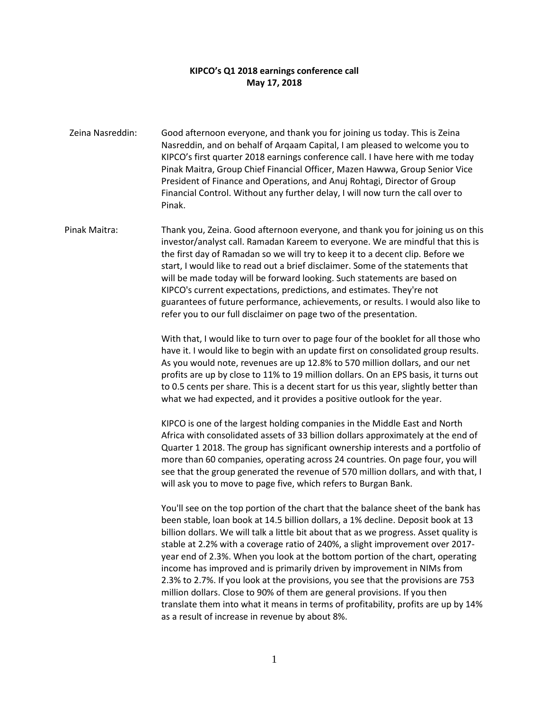## **KIPCO's Q1 2018 earnings conference call May 17, 2018**

Zeina Nasreddin: Good afternoon everyone, and thank you for joining us today. This is Zeina Nasreddin, and on behalf of Arqaam Capital, I am pleased to welcome you to KIPCO's first quarter 2018 earnings conference call. I have here with me today Pinak Maitra, Group Chief Financial Officer, Mazen Hawwa, Group Senior Vice President of Finance and Operations, and Anuj Rohtagi, Director of Group Financial Control. Without any further delay, I will now turn the call over to Pinak.

Pinak Maitra: Thank you, Zeina. Good afternoon everyone, and thank you for joining us on this investor/analyst call. Ramadan Kareem to everyone. We are mindful that this is the first day of Ramadan so we will try to keep it to a decent clip. Before we start, I would like to read out a brief disclaimer. Some of the statements that will be made today will be forward looking. Such statements are based on KIPCO's current expectations, predictions, and estimates. They're not guarantees of future performance, achievements, or results. I would also like to refer you to our full disclaimer on page two of the presentation.

> With that, I would like to turn over to page four of the booklet for all those who have it. I would like to begin with an update first on consolidated group results. As you would note, revenues are up 12.8% to 570 million dollars, and our net profits are up by close to 11% to 19 million dollars. On an EPS basis, it turns out to 0.5 cents per share. This is a decent start for us this year, slightly better than what we had expected, and it provides a positive outlook for the year.

> KIPCO is one of the largest holding companies in the Middle East and North Africa with consolidated assets of 33 billion dollars approximately at the end of Quarter 1 2018. The group has significant ownership interests and a portfolio of more than 60 companies, operating across 24 countries. On page four, you will see that the group generated the revenue of 570 million dollars, and with that, I will ask you to move to page five, which refers to Burgan Bank.

> You'll see on the top portion of the chart that the balance sheet of the bank has been stable, loan book at 14.5 billion dollars, a 1% decline. Deposit book at 13 billion dollars. We will talk a little bit about that as we progress. Asset quality is stable at 2.2% with a coverage ratio of 240%, a slight improvement over 2017 year end of 2.3%. When you look at the bottom portion of the chart, operating income has improved and is primarily driven by improvement in NIMs from 2.3% to 2.7%. If you look at the provisions, you see that the provisions are 753 million dollars. Close to 90% of them are general provisions. If you then translate them into what it means in terms of profitability, profits are up by 14% as a result of increase in revenue by about 8%.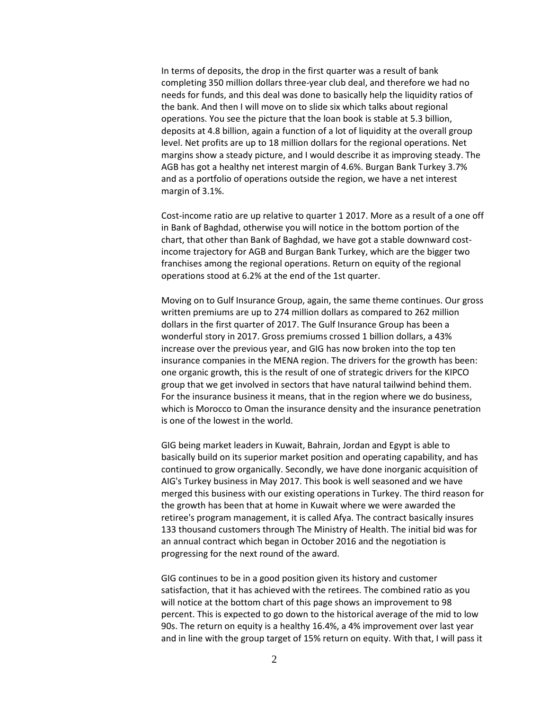In terms of deposits, the drop in the first quarter was a result of bank completing 350 million dollars three-year club deal, and therefore we had no needs for funds, and this deal was done to basically help the liquidity ratios of the bank. And then I will move on to slide six which talks about regional operations. You see the picture that the loan book is stable at 5.3 billion, deposits at 4.8 billion, again a function of a lot of liquidity at the overall group level. Net profits are up to 18 million dollars for the regional operations. Net margins show a steady picture, and I would describe it as improving steady. The AGB has got a healthy net interest margin of 4.6%. Burgan Bank Turkey 3.7% and as a portfolio of operations outside the region, we have a net interest margin of 3.1%.

Cost-income ratio are up relative to quarter 1 2017. More as a result of a one off in Bank of Baghdad, otherwise you will notice in the bottom portion of the chart, that other than Bank of Baghdad, we have got a stable downward costincome trajectory for AGB and Burgan Bank Turkey, which are the bigger two franchises among the regional operations. Return on equity of the regional operations stood at 6.2% at the end of the 1st quarter.

Moving on to Gulf Insurance Group, again, the same theme continues. Our gross written premiums are up to 274 million dollars as compared to 262 million dollars in the first quarter of 2017. The Gulf Insurance Group has been a wonderful story in 2017. Gross premiums crossed 1 billion dollars, a 43% increase over the previous year, and GIG has now broken into the top ten insurance companies in the MENA region. The drivers for the growth has been: one organic growth, this is the result of one of strategic drivers for the KIPCO group that we get involved in sectors that have natural tailwind behind them. For the insurance business it means, that in the region where we do business, which is Morocco to Oman the insurance density and the insurance penetration is one of the lowest in the world.

GIG being market leaders in Kuwait, Bahrain, Jordan and Egypt is able to basically build on its superior market position and operating capability, and has continued to grow organically. Secondly, we have done inorganic acquisition of AIG's Turkey business in May 2017. This book is well seasoned and we have merged this business with our existing operations in Turkey. The third reason for the growth has been that at home in Kuwait where we were awarded the retiree's program management, it is called Afya. The contract basically insures 133 thousand customers through The Ministry of Health. The initial bid was for an annual contract which began in October 2016 and the negotiation is progressing for the next round of the award.

GIG continues to be in a good position given its history and customer satisfaction, that it has achieved with the retirees. The combined ratio as you will notice at the bottom chart of this page shows an improvement to 98 percent. This is expected to go down to the historical average of the mid to low 90s. The return on equity is a healthy 16.4%, a 4% improvement over last year and in line with the group target of 15% return on equity. With that, I will pass it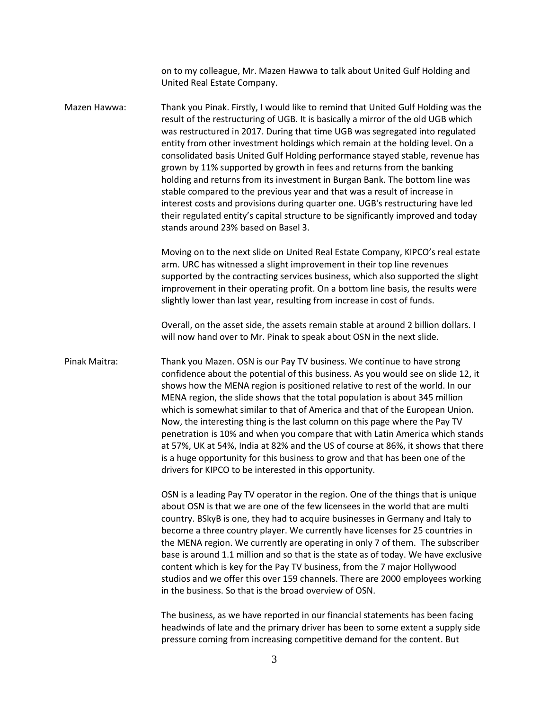on to my colleague, Mr. Mazen Hawwa to talk about United Gulf Holding and United Real Estate Company.

Mazen Hawwa: Thank you Pinak. Firstly, I would like to remind that United Gulf Holding was the result of the restructuring of UGB. It is basically a mirror of the old UGB which was restructured in 2017. During that time UGB was segregated into regulated entity from other investment holdings which remain at the holding level. On a consolidated basis United Gulf Holding performance stayed stable, revenue has grown by 11% supported by growth in fees and returns from the banking holding and returns from its investment in Burgan Bank. The bottom line was stable compared to the previous year and that was a result of increase in interest costs and provisions during quarter one. UGB's restructuring have led their regulated entity's capital structure to be significantly improved and today stands around 23% based on Basel 3.

> Moving on to the next slide on United Real Estate Company, KIPCO's real estate arm. URC has witnessed a slight improvement in their top line revenues supported by the contracting services business, which also supported the slight improvement in their operating profit. On a bottom line basis, the results were slightly lower than last year, resulting from increase in cost of funds.

Overall, on the asset side, the assets remain stable at around 2 billion dollars. I will now hand over to Mr. Pinak to speak about OSN in the next slide.

Pinak Maitra: Thank you Mazen. OSN is our Pay TV business. We continue to have strong confidence about the potential of this business. As you would see on slide 12, it shows how the MENA region is positioned relative to rest of the world. In our MENA region, the slide shows that the total population is about 345 million which is somewhat similar to that of America and that of the European Union. Now, the interesting thing is the last column on this page where the Pay TV penetration is 10% and when you compare that with Latin America which stands at 57%, UK at 54%, India at 82% and the US of course at 86%, it shows that there is a huge opportunity for this business to grow and that has been one of the drivers for KIPCO to be interested in this opportunity.

> OSN is a leading Pay TV operator in the region. One of the things that is unique about OSN is that we are one of the few licensees in the world that are multi country. BSkyB is one, they had to acquire businesses in Germany and Italy to become a three country player. We currently have licenses for 25 countries in the MENA region. We currently are operating in only 7 of them. The subscriber base is around 1.1 million and so that is the state as of today. We have exclusive content which is key for the Pay TV business, from the 7 major Hollywood studios and we offer this over 159 channels. There are 2000 employees working in the business. So that is the broad overview of OSN.

> The business, as we have reported in our financial statements has been facing headwinds of late and the primary driver has been to some extent a supply side pressure coming from increasing competitive demand for the content. But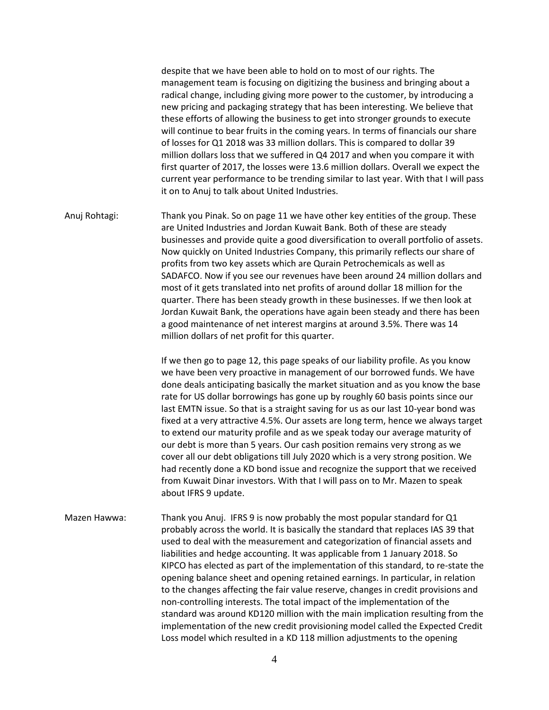despite that we have been able to hold on to most of our rights. The management team is focusing on digitizing the business and bringing about a radical change, including giving more power to the customer, by introducing a new pricing and packaging strategy that has been interesting. We believe that these efforts of allowing the business to get into stronger grounds to execute will continue to bear fruits in the coming years. In terms of financials our share of losses for Q1 2018 was 33 million dollars. This is compared to dollar 39 million dollars loss that we suffered in Q4 2017 and when you compare it with first quarter of 2017, the losses were 13.6 million dollars. Overall we expect the current year performance to be trending similar to last year. With that I will pass it on to Anuj to talk about United Industries.

Anuj Rohtagi: Thank you Pinak. So on page 11 we have other key entities of the group. These are United Industries and Jordan Kuwait Bank. Both of these are steady businesses and provide quite a good diversification to overall portfolio of assets. Now quickly on United Industries Company, this primarily reflects our share of profits from two key assets which are Qurain Petrochemicals as well as SADAFCO. Now if you see our revenues have been around 24 million dollars and most of it gets translated into net profits of around dollar 18 million for the quarter. There has been steady growth in these businesses. If we then look at Jordan Kuwait Bank, the operations have again been steady and there has been a good maintenance of net interest margins at around 3.5%. There was 14 million dollars of net profit for this quarter.

> If we then go to page 12, this page speaks of our liability profile. As you know we have been very proactive in management of our borrowed funds. We have done deals anticipating basically the market situation and as you know the base rate for US dollar borrowings has gone up by roughly 60 basis points since our last EMTN issue. So that is a straight saving for us as our last 10-year bond was fixed at a very attractive 4.5%. Our assets are long term, hence we always target to extend our maturity profile and as we speak today our average maturity of our debt is more than 5 years. Our cash position remains very strong as we cover all our debt obligations till July 2020 which is a very strong position. We had recently done a KD bond issue and recognize the support that we received from Kuwait Dinar investors. With that I will pass on to Mr. Mazen to speak about IFRS 9 update.

Mazen Hawwa: Thank you Anuj. IFRS 9 is now probably the most popular standard for Q1 probably across the world. It is basically the standard that replaces IAS 39 that used to deal with the measurement and categorization of financial assets and liabilities and hedge accounting. It was applicable from 1 January 2018. So KIPCO has elected as part of the implementation of this standard, to re-state the opening balance sheet and opening retained earnings. In particular, in relation to the changes affecting the fair value reserve, changes in credit provisions and non-controlling interests. The total impact of the implementation of the standard was around KD120 million with the main implication resulting from the implementation of the new credit provisioning model called the Expected Credit Loss model which resulted in a KD 118 million adjustments to the opening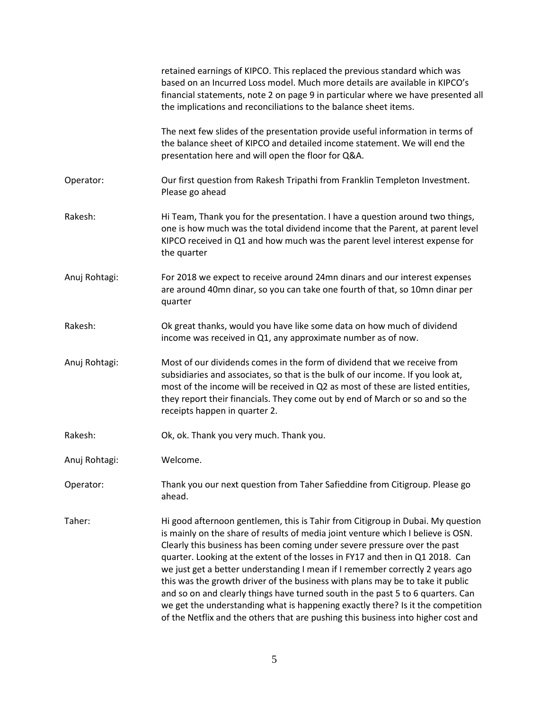|               | retained earnings of KIPCO. This replaced the previous standard which was<br>based on an Incurred Loss model. Much more details are available in KIPCO's<br>financial statements, note 2 on page 9 in particular where we have presented all<br>the implications and reconciliations to the balance sheet items.                                                                                                                                                                                                                                                                                                                                                                                                                                                |
|---------------|-----------------------------------------------------------------------------------------------------------------------------------------------------------------------------------------------------------------------------------------------------------------------------------------------------------------------------------------------------------------------------------------------------------------------------------------------------------------------------------------------------------------------------------------------------------------------------------------------------------------------------------------------------------------------------------------------------------------------------------------------------------------|
|               | The next few slides of the presentation provide useful information in terms of<br>the balance sheet of KIPCO and detailed income statement. We will end the<br>presentation here and will open the floor for Q&A.                                                                                                                                                                                                                                                                                                                                                                                                                                                                                                                                               |
| Operator:     | Our first question from Rakesh Tripathi from Franklin Templeton Investment.<br>Please go ahead                                                                                                                                                                                                                                                                                                                                                                                                                                                                                                                                                                                                                                                                  |
| Rakesh:       | Hi Team, Thank you for the presentation. I have a question around two things,<br>one is how much was the total dividend income that the Parent, at parent level<br>KIPCO received in Q1 and how much was the parent level interest expense for<br>the quarter                                                                                                                                                                                                                                                                                                                                                                                                                                                                                                   |
| Anuj Rohtagi: | For 2018 we expect to receive around 24mn dinars and our interest expenses<br>are around 40mn dinar, so you can take one fourth of that, so 10mn dinar per<br>quarter                                                                                                                                                                                                                                                                                                                                                                                                                                                                                                                                                                                           |
| Rakesh:       | Ok great thanks, would you have like some data on how much of dividend<br>income was received in Q1, any approximate number as of now.                                                                                                                                                                                                                                                                                                                                                                                                                                                                                                                                                                                                                          |
| Anuj Rohtagi: | Most of our dividends comes in the form of dividend that we receive from<br>subsidiaries and associates, so that is the bulk of our income. If you look at,<br>most of the income will be received in Q2 as most of these are listed entities,<br>they report their financials. They come out by end of March or so and so the<br>receipts happen in quarter 2.                                                                                                                                                                                                                                                                                                                                                                                                 |
| Rakesh:       | Ok, ok. Thank you very much. Thank you.                                                                                                                                                                                                                                                                                                                                                                                                                                                                                                                                                                                                                                                                                                                         |
| Anuj Rohtagi: | Welcome.                                                                                                                                                                                                                                                                                                                                                                                                                                                                                                                                                                                                                                                                                                                                                        |
| Operator:     | Thank you our next question from Taher Safieddine from Citigroup. Please go<br>ahead.                                                                                                                                                                                                                                                                                                                                                                                                                                                                                                                                                                                                                                                                           |
| Taher:        | Hi good afternoon gentlemen, this is Tahir from Citigroup in Dubai. My question<br>is mainly on the share of results of media joint venture which I believe is OSN.<br>Clearly this business has been coming under severe pressure over the past<br>quarter. Looking at the extent of the losses in FY17 and then in Q1 2018. Can<br>we just get a better understanding I mean if I remember correctly 2 years ago<br>this was the growth driver of the business with plans may be to take it public<br>and so on and clearly things have turned south in the past 5 to 6 quarters. Can<br>we get the understanding what is happening exactly there? Is it the competition<br>of the Netflix and the others that are pushing this business into higher cost and |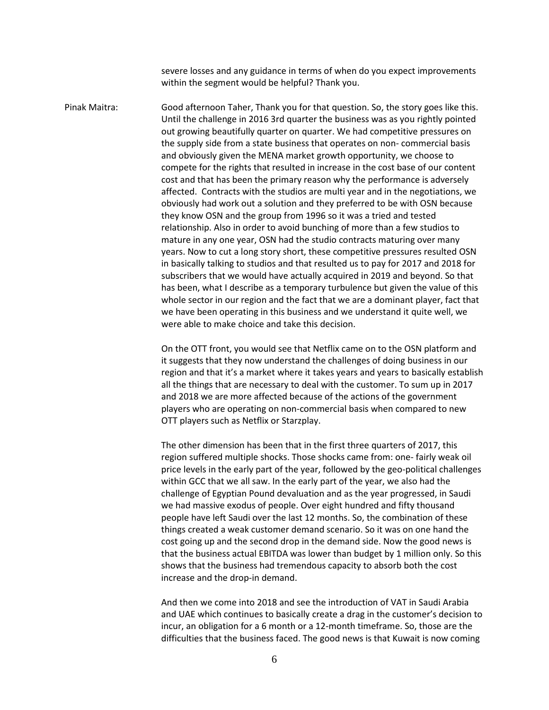severe losses and any guidance in terms of when do you expect improvements within the segment would be helpful? Thank you.

Pinak Maitra: Good afternoon Taher, Thank you for that question. So, the story goes like this. Until the challenge in 2016 3rd quarter the business was as you rightly pointed out growing beautifully quarter on quarter. We had competitive pressures on the supply side from a state business that operates on non- commercial basis and obviously given the MENA market growth opportunity, we choose to compete for the rights that resulted in increase in the cost base of our content cost and that has been the primary reason why the performance is adversely affected. Contracts with the studios are multi year and in the negotiations, we obviously had work out a solution and they preferred to be with OSN because they know OSN and the group from 1996 so it was a tried and tested relationship. Also in order to avoid bunching of more than a few studios to mature in any one year, OSN had the studio contracts maturing over many years. Now to cut a long story short, these competitive pressures resulted OSN in basically talking to studios and that resulted us to pay for 2017 and 2018 for subscribers that we would have actually acquired in 2019 and beyond. So that has been, what I describe as a temporary turbulence but given the value of this whole sector in our region and the fact that we are a dominant player, fact that we have been operating in this business and we understand it quite well, we were able to make choice and take this decision.

> On the OTT front, you would see that Netflix came on to the OSN platform and it suggests that they now understand the challenges of doing business in our region and that it's a market where it takes years and years to basically establish all the things that are necessary to deal with the customer. To sum up in 2017 and 2018 we are more affected because of the actions of the government players who are operating on non-commercial basis when compared to new OTT players such as Netflix or Starzplay.

> The other dimension has been that in the first three quarters of 2017, this region suffered multiple shocks. Those shocks came from: one- fairly weak oil price levels in the early part of the year, followed by the geo-political challenges within GCC that we all saw. In the early part of the year, we also had the challenge of Egyptian Pound devaluation and as the year progressed, in Saudi we had massive exodus of people. Over eight hundred and fifty thousand people have left Saudi over the last 12 months. So, the combination of these things created a weak customer demand scenario. So it was on one hand the cost going up and the second drop in the demand side. Now the good news is that the business actual EBITDA was lower than budget by 1 million only. So this shows that the business had tremendous capacity to absorb both the cost increase and the drop-in demand.

> And then we come into 2018 and see the introduction of VAT in Saudi Arabia and UAE which continues to basically create a drag in the customer's decision to incur, an obligation for a 6 month or a 12-month timeframe. So, those are the difficulties that the business faced. The good news is that Kuwait is now coming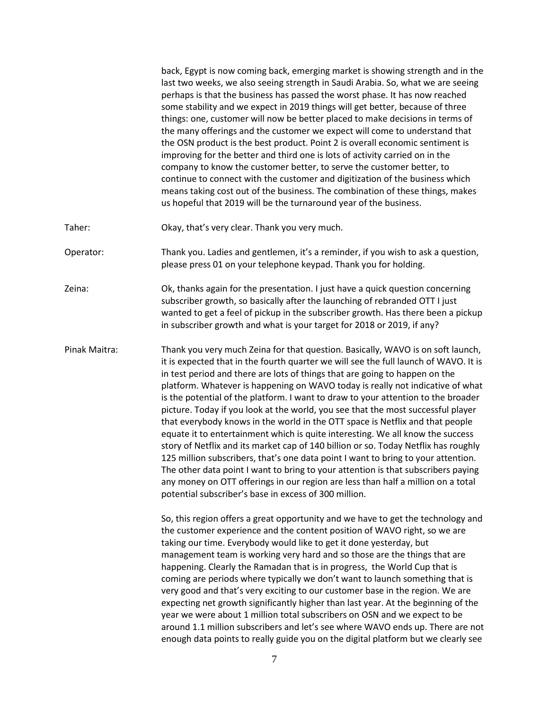|               | back, Egypt is now coming back, emerging market is showing strength and in the<br>last two weeks, we also seeing strength in Saudi Arabia. So, what we are seeing<br>perhaps is that the business has passed the worst phase. It has now reached<br>some stability and we expect in 2019 things will get better, because of three<br>things: one, customer will now be better placed to make decisions in terms of<br>the many offerings and the customer we expect will come to understand that<br>the OSN product is the best product. Point 2 is overall economic sentiment is<br>improving for the better and third one is lots of activity carried on in the<br>company to know the customer better, to serve the customer better, to<br>continue to connect with the customer and digitization of the business which<br>means taking cost out of the business. The combination of these things, makes<br>us hopeful that 2019 will be the turnaround year of the business.                                                                                                                   |
|---------------|----------------------------------------------------------------------------------------------------------------------------------------------------------------------------------------------------------------------------------------------------------------------------------------------------------------------------------------------------------------------------------------------------------------------------------------------------------------------------------------------------------------------------------------------------------------------------------------------------------------------------------------------------------------------------------------------------------------------------------------------------------------------------------------------------------------------------------------------------------------------------------------------------------------------------------------------------------------------------------------------------------------------------------------------------------------------------------------------------|
| Taher:        | Okay, that's very clear. Thank you very much.                                                                                                                                                                                                                                                                                                                                                                                                                                                                                                                                                                                                                                                                                                                                                                                                                                                                                                                                                                                                                                                      |
| Operator:     | Thank you. Ladies and gentlemen, it's a reminder, if you wish to ask a question,<br>please press 01 on your telephone keypad. Thank you for holding.                                                                                                                                                                                                                                                                                                                                                                                                                                                                                                                                                                                                                                                                                                                                                                                                                                                                                                                                               |
| Zeina:        | Ok, thanks again for the presentation. I just have a quick question concerning<br>subscriber growth, so basically after the launching of rebranded OTT I just<br>wanted to get a feel of pickup in the subscriber growth. Has there been a pickup<br>in subscriber growth and what is your target for 2018 or 2019, if any?                                                                                                                                                                                                                                                                                                                                                                                                                                                                                                                                                                                                                                                                                                                                                                        |
| Pinak Maitra: | Thank you very much Zeina for that question. Basically, WAVO is on soft launch,<br>it is expected that in the fourth quarter we will see the full launch of WAVO. It is<br>in test period and there are lots of things that are going to happen on the<br>platform. Whatever is happening on WAVO today is really not indicative of what<br>is the potential of the platform. I want to draw to your attention to the broader<br>picture. Today if you look at the world, you see that the most successful player<br>that everybody knows in the world in the OTT space is Netflix and that people<br>equate it to entertainment which is quite interesting. We all know the success<br>story of Netflix and its market cap of 140 billion or so. Today Netflix has roughly<br>125 million subscribers, that's one data point I want to bring to your attention.<br>The other data point I want to bring to your attention is that subscribers paying<br>any money on OTT offerings in our region are less than half a million on a total<br>potential subscriber's base in excess of 300 million. |
|               | So, this region offers a great opportunity and we have to get the technology and<br>the customer experience and the content position of WAVO right, so we are<br>taking our time. Everybody would like to get it done yesterday, but<br>management team is working very hard and so those are the things that are<br>happening. Clearly the Ramadan that is in progress, the World Cup that is<br>coming are periods where typically we don't want to launch something that is<br>very good and that's very exciting to our customer base in the region. We are<br>expecting net growth significantly higher than last year. At the beginning of the<br>year we were about 1 million total subscribers on OSN and we expect to be<br>around 1.1 million subscribers and let's see where WAVO ends up. There are not<br>enough data points to really guide you on the digital platform but we clearly see                                                                                                                                                                                           |